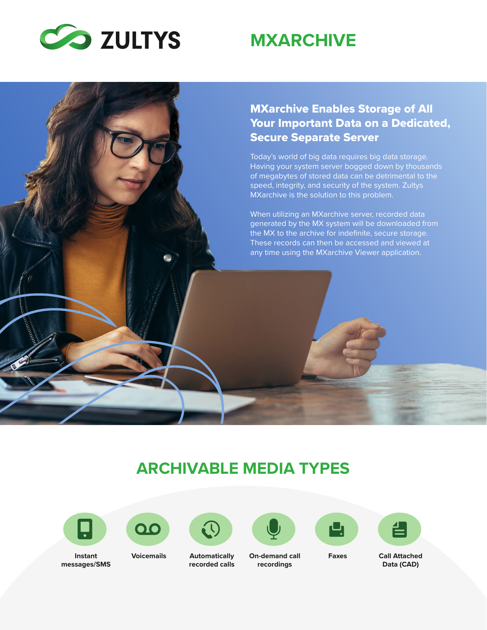

# **MXARCHIVE**

#### MXarchive Enables Storage of All Your Important Data on a Dedicated, Secure Separate Server

Today's world of big data requires big data storage. Having your system server bogged down by thousands of megabytes of stored data can be detrimental to the speed, integrity, and security of the system. Zultys MXarchive is the solution to this problem.

When utilizing an MXarchive server, recorded data generated by the MX system will be downloaded from the MX to the archive for indefinite, secure storage. These records can then be accessed and viewed at any time using the MXarchive Viewer application.

### **ARCHIVABLE MEDIA TYPES**







**Voicemails Automatically recorded calls** 









**Faxes Call Attached Data (CAD)** 

**On-demand call recordings**